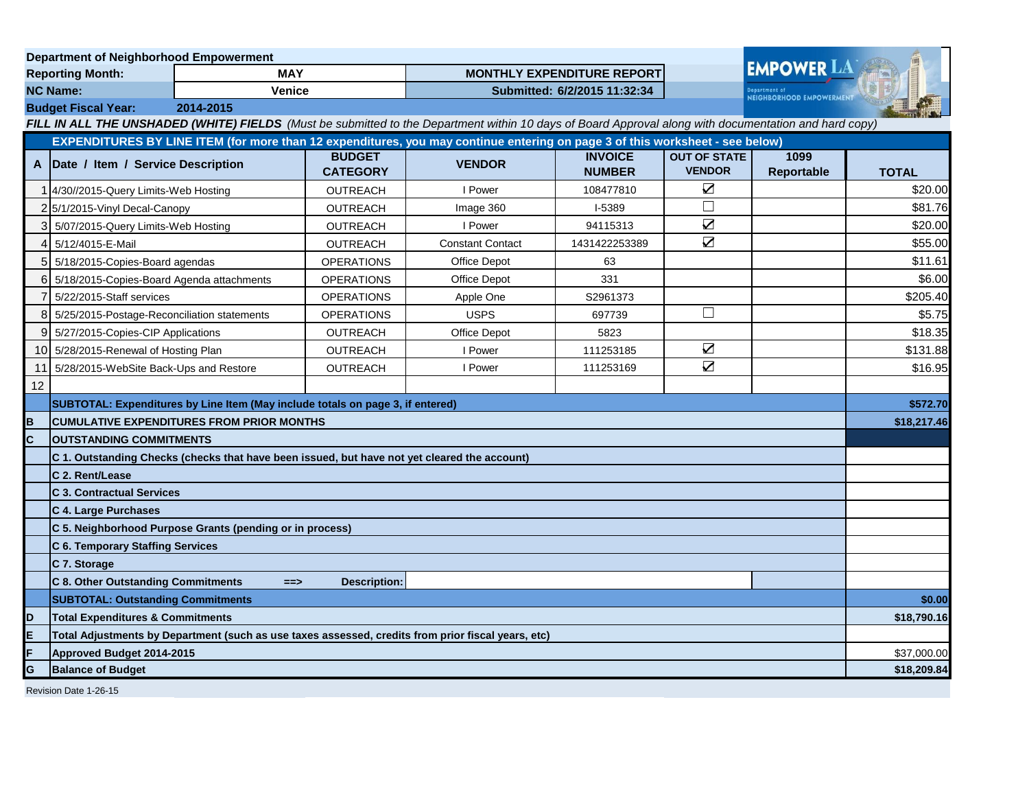| <b>Department of Neighborhood Empowerment</b>                                                                                |                                                                                              |                                                  |                                   |                                                                                                                                                       |                                 |                                      |                    |              |
|------------------------------------------------------------------------------------------------------------------------------|----------------------------------------------------------------------------------------------|--------------------------------------------------|-----------------------------------|-------------------------------------------------------------------------------------------------------------------------------------------------------|---------------------------------|--------------------------------------|--------------------|--------------|
| <b>MAY</b><br><b>Reporting Month:</b>                                                                                        |                                                                                              |                                                  | <b>MONTHLY EXPENDITURE REPORT</b> |                                                                                                                                                       |                                 | <b>EMPOWER LA</b>                    |                    |              |
| <b>NC Name:</b><br><b>Venice</b>                                                                                             |                                                                                              |                                                  | Submitted: 6/2/2015 11:32:34      |                                                                                                                                                       |                                 | <b>NEIGHBORHOOD EMPOWERMENT</b>      |                    |              |
| <b>Budget Fiscal Year:</b><br>2014-2015                                                                                      |                                                                                              |                                                  |                                   |                                                                                                                                                       |                                 |                                      |                    |              |
|                                                                                                                              |                                                                                              |                                                  |                                   | FILL IN ALL THE UNSHADED (WHITE) FIELDS (Must be submitted to the Department within 10 days of Board Approval along with documentation and hard copy) |                                 |                                      |                    |              |
| EXPENDITURES BY LINE ITEM (for more than 12 expenditures, you may continue entering on page 3 of this worksheet - see below) |                                                                                              |                                                  |                                   |                                                                                                                                                       |                                 |                                      |                    |              |
| A                                                                                                                            | Date / Item / Service Description                                                            |                                                  | <b>BUDGET</b><br><b>CATEGORY</b>  | <b>VENDOR</b>                                                                                                                                         | <b>INVOICE</b><br><b>NUMBER</b> | <b>OUT OF STATE</b><br><b>VENDOR</b> | 1099<br>Reportable | <b>TOTAL</b> |
|                                                                                                                              | 4/30//2015-Query Limits-Web Hosting                                                          |                                                  | OUTREACH                          | I Power                                                                                                                                               | 108477810                       | $\triangledown$                      |                    | \$20.00      |
|                                                                                                                              | 2 5/1/2015-Vinyl Decal-Canopy                                                                |                                                  | OUTREACH                          | Image 360                                                                                                                                             | $1-5389$                        | $\Box$                               |                    | \$81.76      |
|                                                                                                                              | 5/07/2015-Query Limits-Web Hosting                                                           |                                                  | OUTREACH                          | I Power                                                                                                                                               | 94115313                        | $\sum$                               |                    | \$20.00      |
| 4                                                                                                                            | 5/12/4015-E-Mail                                                                             |                                                  | OUTREACH                          | <b>Constant Contact</b>                                                                                                                               | 1431422253389                   | $\overline{\mathbf{Z}}$              |                    | \$55.00      |
| 5                                                                                                                            | 5/18/2015-Copies-Board agendas                                                               |                                                  | <b>OPERATIONS</b>                 | <b>Office Depot</b>                                                                                                                                   | 63                              |                                      |                    | \$11.61      |
| 6                                                                                                                            | 5/18/2015-Copies-Board Agenda attachments                                                    |                                                  | <b>OPERATIONS</b>                 | Office Depot                                                                                                                                          | 331                             |                                      |                    | \$6.00       |
|                                                                                                                              | 5/22/2015-Staff services                                                                     |                                                  | <b>OPERATIONS</b>                 | Apple One                                                                                                                                             | S2961373                        |                                      |                    | \$205.40     |
| 8                                                                                                                            | 5/25/2015-Postage-Reconciliation statements                                                  |                                                  | <b>OPERATIONS</b>                 | <b>USPS</b>                                                                                                                                           | 697739                          | $\Box$                               |                    | \$5.75       |
|                                                                                                                              | 9 5/27/2015-Copies-CIP Applications                                                          |                                                  | <b>OUTREACH</b>                   | Office Depot                                                                                                                                          | 5823                            |                                      |                    | \$18.35      |
|                                                                                                                              | 10 5/28/2015-Renewal of Hosting Plan                                                         |                                                  | <b>OUTREACH</b>                   | I Power                                                                                                                                               | 111253185                       | $\sum$                               |                    | \$131.88     |
|                                                                                                                              | 11 5/28/2015-WebSite Back-Ups and Restore                                                    |                                                  | OUTREACH                          | I Power                                                                                                                                               | 111253169                       | $\triangledown$                      |                    | \$16.95      |
| 12                                                                                                                           |                                                                                              |                                                  |                                   |                                                                                                                                                       |                                 |                                      |                    |              |
|                                                                                                                              | SUBTOTAL: Expenditures by Line Item (May include totals on page 3, if entered)               |                                                  |                                   |                                                                                                                                                       |                                 |                                      | \$572.70           |              |
| в                                                                                                                            |                                                                                              | <b>CUMULATIVE EXPENDITURES FROM PRIOR MONTHS</b> |                                   |                                                                                                                                                       |                                 |                                      |                    | \$18,217.46  |
| Ć                                                                                                                            | <b>OUTSTANDING COMMITMENTS</b>                                                               |                                                  |                                   |                                                                                                                                                       |                                 |                                      |                    |              |
|                                                                                                                              | C 1. Outstanding Checks (checks that have been issued, but have not yet cleared the account) |                                                  |                                   |                                                                                                                                                       |                                 |                                      |                    |              |
|                                                                                                                              | C 2. Rent/Lease                                                                              |                                                  |                                   |                                                                                                                                                       |                                 |                                      |                    |              |
|                                                                                                                              | <b>C 3. Contractual Services</b>                                                             |                                                  |                                   |                                                                                                                                                       |                                 |                                      |                    |              |
|                                                                                                                              | C 4. Large Purchases                                                                         |                                                  |                                   |                                                                                                                                                       |                                 |                                      |                    |              |
|                                                                                                                              | C 5. Neighborhood Purpose Grants (pending or in process)                                     |                                                  |                                   |                                                                                                                                                       |                                 |                                      |                    |              |
|                                                                                                                              | <b>C 6. Temporary Staffing Services</b>                                                      |                                                  |                                   |                                                                                                                                                       |                                 |                                      |                    |              |
|                                                                                                                              | C 7. Storage                                                                                 |                                                  |                                   |                                                                                                                                                       |                                 |                                      |                    |              |
|                                                                                                                              | C 8. Other Outstanding Commitments                                                           | $==$                                             | <b>Description:</b>               |                                                                                                                                                       |                                 |                                      |                    |              |
|                                                                                                                              | <b>SUBTOTAL: Outstanding Commitments</b>                                                     |                                                  |                                   |                                                                                                                                                       |                                 |                                      |                    | \$0.00       |
| D                                                                                                                            | <b>Total Expenditures &amp; Commitments</b>                                                  |                                                  |                                   |                                                                                                                                                       |                                 |                                      |                    | \$18,790.16  |
| E                                                                                                                            |                                                                                              |                                                  |                                   | Total Adjustments by Department (such as use taxes assessed, credits from prior fiscal years, etc)                                                    |                                 |                                      |                    |              |
|                                                                                                                              | Approved Budget 2014-2015                                                                    |                                                  |                                   |                                                                                                                                                       |                                 |                                      |                    | \$37,000.00  |
| G                                                                                                                            | <b>Balance of Budget</b>                                                                     |                                                  |                                   |                                                                                                                                                       |                                 |                                      |                    | \$18,209.84  |
|                                                                                                                              | Revision Date 1-26-15                                                                        |                                                  |                                   |                                                                                                                                                       |                                 |                                      |                    |              |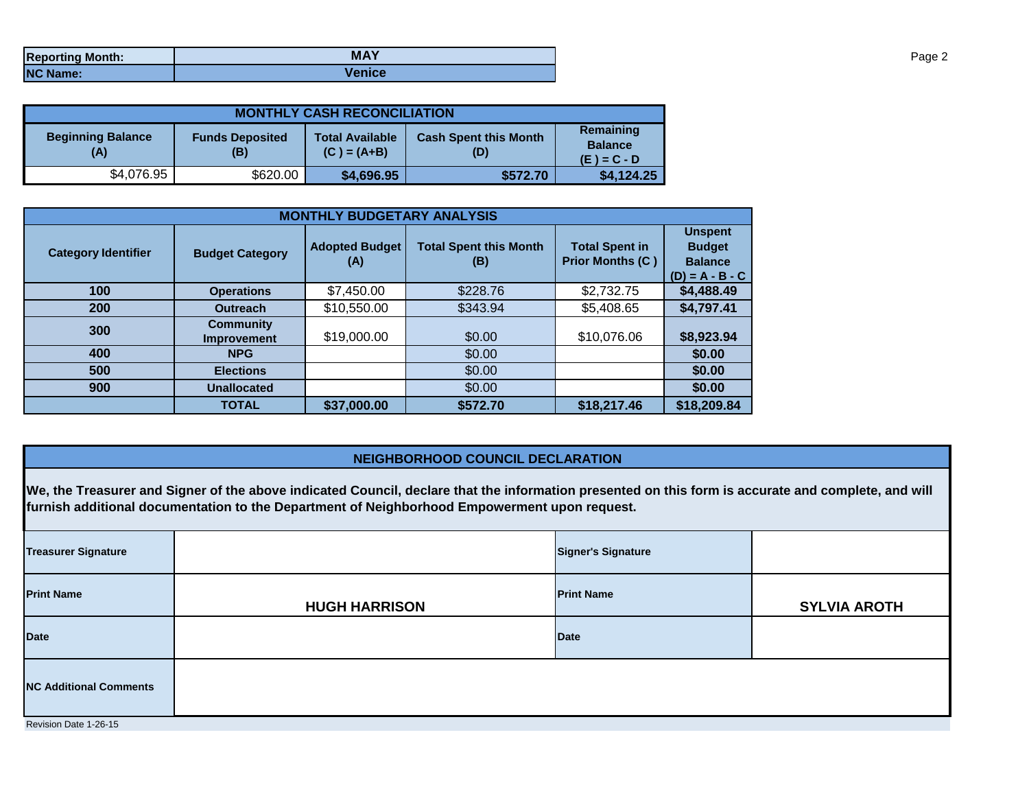| <b>Reporting Month:</b> | <b>MAY</b>    |
|-------------------------|---------------|
| <b>NC Name:</b>         | <b>Venice</b> |

| <b>MONTHLY CASH RECONCILIATION</b> |                               |                                         |                                     |                                              |  |  |
|------------------------------------|-------------------------------|-----------------------------------------|-------------------------------------|----------------------------------------------|--|--|
| <b>Beginning Balance</b><br>(A)    | <b>Funds Deposited</b><br>(B) | <b>Total Available</b><br>$(C) = (A+B)$ | <b>Cash Spent this Month</b><br>(D) | Remaining<br><b>Balance</b><br>$(E) = C - D$ |  |  |
| \$4,076.95                         | \$620.00                      | \$4,696.95                              | \$572.70                            | \$4,124.25                                   |  |  |

| <b>MONTHLY BUDGETARY ANALYSIS</b> |                                 |                              |                                      |                                                  |                                                                        |  |
|-----------------------------------|---------------------------------|------------------------------|--------------------------------------|--------------------------------------------------|------------------------------------------------------------------------|--|
| <b>Category Identifier</b>        | <b>Budget Category</b>          | <b>Adopted Budget</b><br>(A) | <b>Total Spent this Month</b><br>(B) | <b>Total Spent in</b><br><b>Prior Months (C)</b> | <b>Unspent</b><br><b>Budget</b><br><b>Balance</b><br>$(D) = A - B - C$ |  |
| 100                               | <b>Operations</b>               | \$7,450.00                   | \$228.76                             | \$2,732.75                                       | \$4,488.49                                                             |  |
| 200                               | <b>Outreach</b>                 | \$10,550.00                  | \$343.94                             | \$5,408.65                                       | \$4,797.41                                                             |  |
| 300                               | <b>Community</b><br>Improvement | \$19,000.00                  | \$0.00                               | \$10,076.06                                      | \$8,923.94                                                             |  |
| 400                               | <b>NPG</b>                      |                              | \$0.00                               |                                                  | \$0.00                                                                 |  |
| 500                               | <b>Elections</b>                |                              | \$0.00                               |                                                  | \$0.00                                                                 |  |
| 900                               | <b>Unallocated</b>              |                              | \$0.00                               |                                                  | \$0.00                                                                 |  |
|                                   | <b>TOTAL</b>                    | \$37,000.00                  | \$572.70                             | \$18,217.46                                      | \$18,209.84                                                            |  |

## **NEIGHBORHOOD COUNCIL DECLARATION**

**We, the Treasurer and Signer of the above indicated Council, declare that the information presented on this form is accurate and complete, and will furnish additional documentation to the Department of Neighborhood Empowerment upon request.**

| <b>Treasurer Signature</b>    |                      | <b>Signer's Signature</b> |                     |
|-------------------------------|----------------------|---------------------------|---------------------|
| <b>Print Name</b>             | <b>HUGH HARRISON</b> | <b>Print Name</b>         | <b>SYLVIA AROTH</b> |
| <b>Date</b>                   |                      | <b>Date</b>               |                     |
| <b>NC Additional Comments</b> |                      |                           |                     |
| Revision Date 1-26-15         |                      |                           |                     |